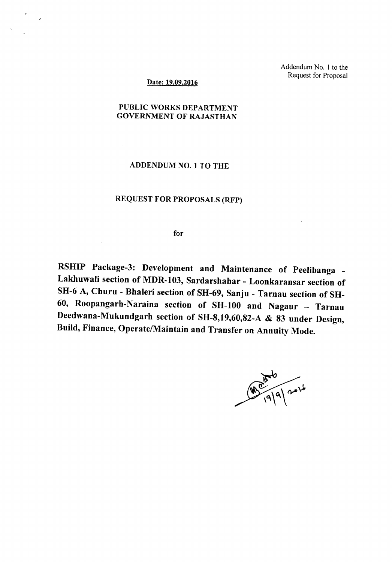Addendum No. 1 to the Request for Proposal

## Date: 19.09.2016

 $\epsilon$ 

## PUBLIC WORKS DEPARTMENT GOVERNMENT OF RAJASTHAN

## ADDENDUM NO.1 TO THE

## REQUEST FOR PROPOSALS (RFP)

for

RSHIP Package-3: Development and Maintenance of Peelibanga -Lakhuwali section of MDR-I03, Sardarshahar - Loonkaransar section of SH-6 A, Churu - Bhaleri section of SH-69, Sanju - Tarnau section of SH-60, Roopangarh-Naraina section of SH-IOO and Nagaur - Tarnau Deedwana-Mukundgarh section of SH-8,19,60,82-A & 83 under Design, Build, Finance, Operate/Maintain and Transfer on Annuity Mode.

 $90<sup>80</sup>$ <br> $(9)9914$